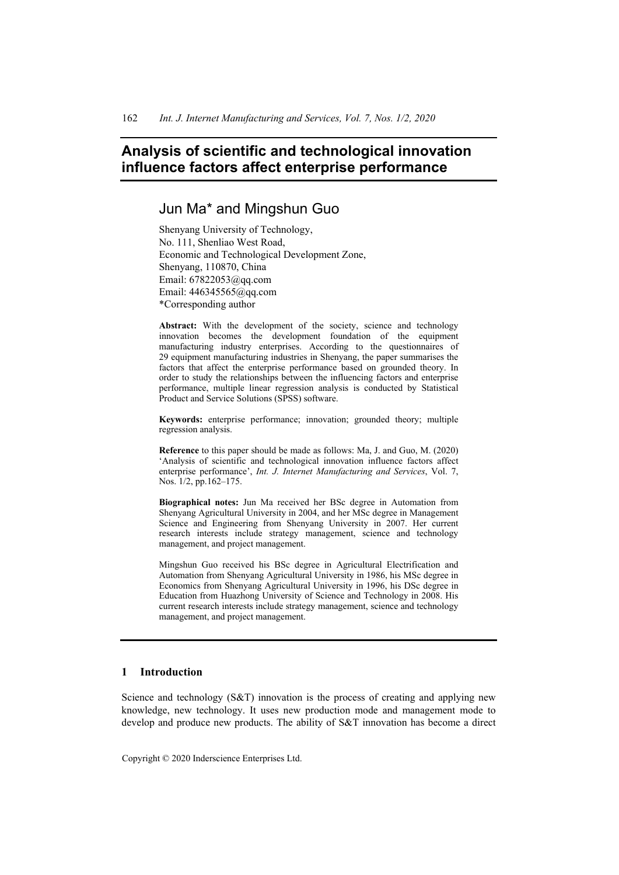# **Analysis of scientific and technological innovation influence factors affect enterprise performance**

# Jun Ma\* and Mingshun Guo

Shenyang University of Technology, No. 111, Shenliao West Road, Economic and Technological Development Zone, Shenyang, 110870, China Email: 67822053@qq.com Email: 446345565@qq.com \*Corresponding author

**Abstract:** With the development of the society, science and technology innovation becomes the development foundation of the equipment manufacturing industry enterprises. According to the questionnaires of 29 equipment manufacturing industries in Shenyang, the paper summarises the factors that affect the enterprise performance based on grounded theory. In order to study the relationships between the influencing factors and enterprise performance, multiple linear regression analysis is conducted by Statistical Product and Service Solutions (SPSS) software.

**Keywords:** enterprise performance; innovation; grounded theory; multiple regression analysis.

**Reference** to this paper should be made as follows: Ma, J. and Guo, M. (2020) 'Analysis of scientific and technological innovation influence factors affect enterprise performance', *Int. J. Internet Manufacturing and Services*, Vol. 7, Nos. 1/2, pp.162–175.

**Biographical notes:** Jun Ma received her BSc degree in Automation from Shenyang Agricultural University in 2004, and her MSc degree in Management Science and Engineering from Shenyang University in 2007. Her current research interests include strategy management, science and technology management, and project management.

Mingshun Guo received his BSc degree in Agricultural Electrification and Automation from Shenyang Agricultural University in 1986, his MSc degree in Economics from Shenyang Agricultural University in 1996, his DSc degree in Education from Huazhong University of Science and Technology in 2008. His current research interests include strategy management, science and technology management, and project management.

## **1 Introduction**

Science and technology (S&T) innovation is the process of creating and applying new knowledge, new technology. It uses new production mode and management mode to develop and produce new products. The ability of S&T innovation has become a direct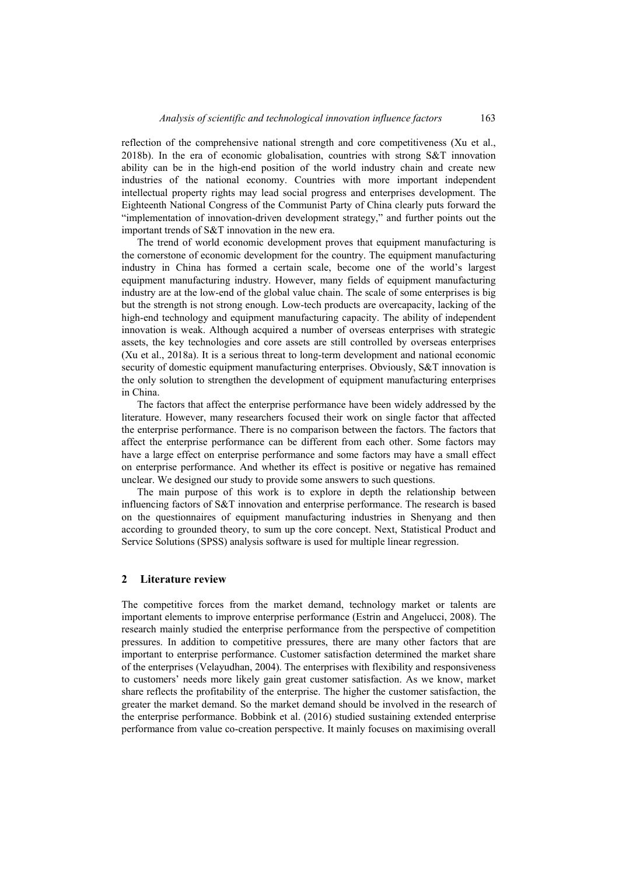reflection of the comprehensive national strength and core competitiveness (Xu et al., 2018b). In the era of economic globalisation, countries with strong S&T innovation ability can be in the high-end position of the world industry chain and create new industries of the national economy. Countries with more important independent intellectual property rights may lead social progress and enterprises development. The Eighteenth National Congress of the Communist Party of China clearly puts forward the "implementation of innovation-driven development strategy," and further points out the important trends of S&T innovation in the new era.

The trend of world economic development proves that equipment manufacturing is the cornerstone of economic development for the country. The equipment manufacturing industry in China has formed a certain scale, become one of the world's largest equipment manufacturing industry. However, many fields of equipment manufacturing industry are at the low-end of the global value chain. The scale of some enterprises is big but the strength is not strong enough. Low-tech products are overcapacity, lacking of the high-end technology and equipment manufacturing capacity. The ability of independent innovation is weak. Although acquired a number of overseas enterprises with strategic assets, the key technologies and core assets are still controlled by overseas enterprises (Xu et al., 2018a). It is a serious threat to long-term development and national economic security of domestic equipment manufacturing enterprises. Obviously, S&T innovation is the only solution to strengthen the development of equipment manufacturing enterprises in China.

The factors that affect the enterprise performance have been widely addressed by the literature. However, many researchers focused their work on single factor that affected the enterprise performance. There is no comparison between the factors. The factors that affect the enterprise performance can be different from each other. Some factors may have a large effect on enterprise performance and some factors may have a small effect on enterprise performance. And whether its effect is positive or negative has remained unclear. We designed our study to provide some answers to such questions.

The main purpose of this work is to explore in depth the relationship between influencing factors of S&T innovation and enterprise performance. The research is based on the questionnaires of equipment manufacturing industries in Shenyang and then according to grounded theory, to sum up the core concept. Next, Statistical Product and Service Solutions (SPSS) analysis software is used for multiple linear regression.

#### **2 Literature review**

The competitive forces from the market demand, technology market or talents are important elements to improve enterprise performance (Estrin and Angelucci, 2008). The research mainly studied the enterprise performance from the perspective of competition pressures. In addition to competitive pressures, there are many other factors that are important to enterprise performance. Customer satisfaction determined the market share of the enterprises (Velayudhan, 2004). The enterprises with flexibility and responsiveness to customers' needs more likely gain great customer satisfaction. As we know, market share reflects the profitability of the enterprise. The higher the customer satisfaction, the greater the market demand. So the market demand should be involved in the research of the enterprise performance. Bobbink et al. (2016) studied sustaining extended enterprise performance from value co-creation perspective. It mainly focuses on maximising overall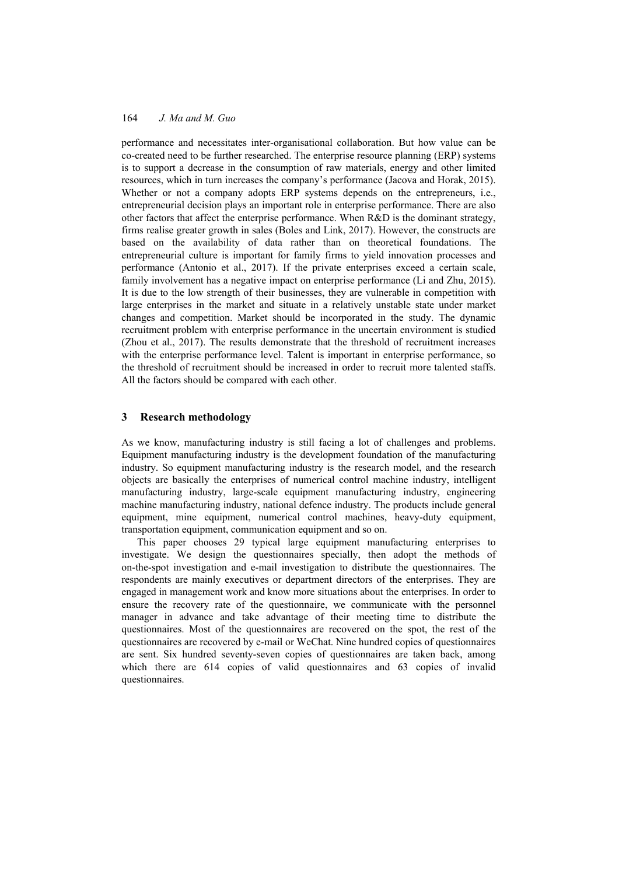performance and necessitates inter-organisational collaboration. But how value can be co-created need to be further researched. The enterprise resource planning (ERP) systems is to support a decrease in the consumption of raw materials, energy and other limited resources, which in turn increases the company's performance (Jacova and Horak, 2015). Whether or not a company adopts ERP systems depends on the entrepreneurs, i.e., entrepreneurial decision plays an important role in enterprise performance. There are also other factors that affect the enterprise performance. When R&D is the dominant strategy, firms realise greater growth in sales (Boles and Link, 2017). However, the constructs are based on the availability of data rather than on theoretical foundations. The entrepreneurial culture is important for family firms to yield innovation processes and performance (Antonio et al., 2017). If the private enterprises exceed a certain scale, family involvement has a negative impact on enterprise performance (Li and Zhu, 2015). It is due to the low strength of their businesses, they are vulnerable in competition with large enterprises in the market and situate in a relatively unstable state under market changes and competition. Market should be incorporated in the study. The dynamic recruitment problem with enterprise performance in the uncertain environment is studied (Zhou et al., 2017). The results demonstrate that the threshold of recruitment increases with the enterprise performance level. Talent is important in enterprise performance, so the threshold of recruitment should be increased in order to recruit more talented staffs. All the factors should be compared with each other.

## **3 Research methodology**

As we know, manufacturing industry is still facing a lot of challenges and problems. Equipment manufacturing industry is the development foundation of the manufacturing industry. So equipment manufacturing industry is the research model, and the research objects are basically the enterprises of numerical control machine industry, intelligent manufacturing industry, large-scale equipment manufacturing industry, engineering machine manufacturing industry, national defence industry. The products include general equipment, mine equipment, numerical control machines, heavy-duty equipment, transportation equipment, communication equipment and so on.

This paper chooses 29 typical large equipment manufacturing enterprises to investigate. We design the questionnaires specially, then adopt the methods of on-the-spot investigation and e-mail investigation to distribute the questionnaires. The respondents are mainly executives or department directors of the enterprises. They are engaged in management work and know more situations about the enterprises. In order to ensure the recovery rate of the questionnaire, we communicate with the personnel manager in advance and take advantage of their meeting time to distribute the questionnaires. Most of the questionnaires are recovered on the spot, the rest of the questionnaires are recovered by e-mail or WeChat. Nine hundred copies of questionnaires are sent. Six hundred seventy-seven copies of questionnaires are taken back, among which there are 614 copies of valid questionnaires and 63 copies of invalid questionnaires.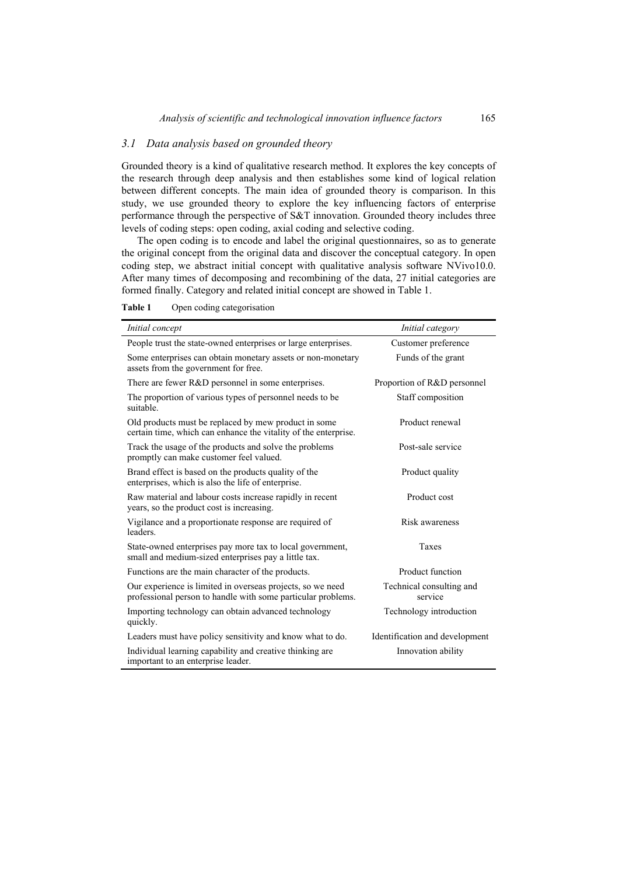## *3.1 Data analysis based on grounded theory*

Grounded theory is a kind of qualitative research method. It explores the key concepts of the research through deep analysis and then establishes some kind of logical relation between different concepts. The main idea of grounded theory is comparison. In this study, we use grounded theory to explore the key influencing factors of enterprise performance through the perspective of S&T innovation. Grounded theory includes three levels of coding steps: open coding, axial coding and selective coding.

The open coding is to encode and label the original questionnaires, so as to generate the original concept from the original data and discover the conceptual category. In open coding step, we abstract initial concept with qualitative analysis software NVivo10.0. After many times of decomposing and recombining of the data, 27 initial categories are formed finally. Category and related initial concept are showed in Table 1.

|  | Table 1 |  | Open coding categorisation |
|--|---------|--|----------------------------|
|--|---------|--|----------------------------|

| Initial concept                                                                                                            | Initial category                    |
|----------------------------------------------------------------------------------------------------------------------------|-------------------------------------|
| People trust the state-owned enterprises or large enterprises.                                                             | Customer preference                 |
| Some enterprises can obtain monetary assets or non-monetary<br>assets from the government for free.                        | Funds of the grant                  |
| There are fewer R&D personnel in some enterprises.                                                                         | Proportion of R&D personnel         |
| The proportion of various types of personnel needs to be.<br>suitable.                                                     | Staff composition                   |
| Old products must be replaced by mew product in some<br>certain time, which can enhance the vitality of the enterprise.    | Product renewal                     |
| Track the usage of the products and solve the problems<br>promptly can make customer feel valued.                          | Post-sale service                   |
| Brand effect is based on the products quality of the<br>enterprises, which is also the life of enterprise.                 | Product quality                     |
| Raw material and labour costs increase rapidly in recent<br>years, so the product cost is increasing.                      | Product cost                        |
| Vigilance and a proportionate response are required of<br>leaders.                                                         | Risk awareness                      |
| State-owned enterprises pay more tax to local government,<br>small and medium-sized enterprises pay a little tax.          | Taxes                               |
| Functions are the main character of the products.                                                                          | Product function                    |
| Our experience is limited in overseas projects, so we need<br>professional person to handle with some particular problems. | Technical consulting and<br>service |
| Importing technology can obtain advanced technology<br>quickly.                                                            | Technology introduction             |
| Leaders must have policy sensitivity and know what to do.                                                                  | Identification and development      |
| Individual learning capability and creative thinking are.<br>important to an enterprise leader.                            | Innovation ability                  |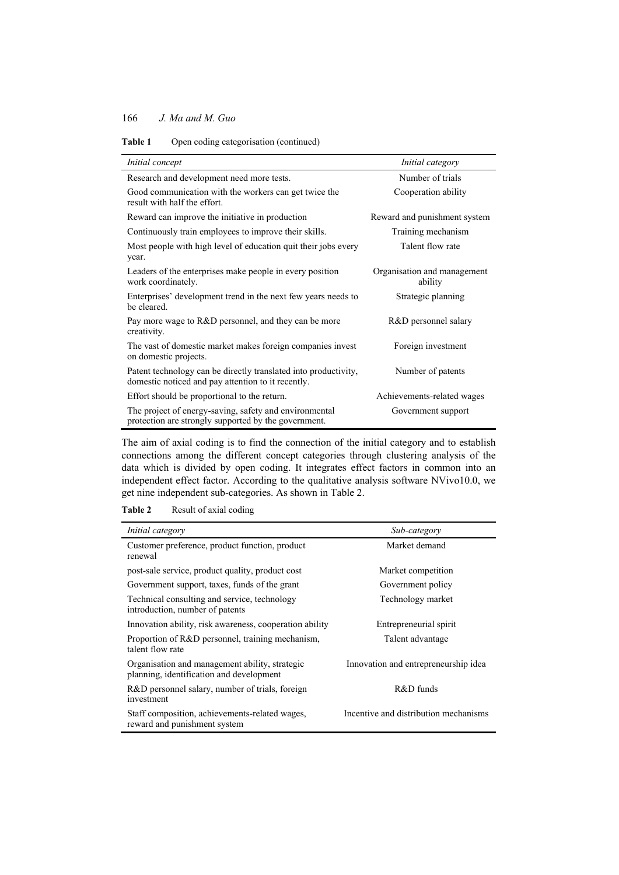| Table 1 |  |  | Open coding categorisation (continued) |  |
|---------|--|--|----------------------------------------|--|
|---------|--|--|----------------------------------------|--|

| Initial concept                                                                                                       | <i>Initial category</i>                |
|-----------------------------------------------------------------------------------------------------------------------|----------------------------------------|
| Research and development need more tests.                                                                             | Number of trials                       |
| Good communication with the workers can get twice the<br>result with half the effort.                                 | Cooperation ability                    |
| Reward can improve the initiative in production                                                                       | Reward and punishment system           |
| Continuously train employees to improve their skills.                                                                 | Training mechanism                     |
| Most people with high level of education quit their jobs every<br>year.                                               | Talent flow rate                       |
| Leaders of the enterprises make people in every position<br>work coordinately.                                        | Organisation and management<br>ability |
| Enterprises' development trend in the next few years needs to<br>be cleared.                                          | Strategic planning                     |
| Pay more wage to R&D personnel, and they can be more<br>creativity.                                                   | R&D personnel salary                   |
| The vast of domestic market makes foreign companies invest<br>on domestic projects.                                   | Foreign investment                     |
| Patent technology can be directly translated into productivity,<br>domestic noticed and pay attention to it recently. | Number of patents                      |
| Effort should be proportional to the return.                                                                          | Achievements-related wages             |
| The project of energy-saving, safety and environmental<br>protection are strongly supported by the government.        | Government support                     |

The aim of axial coding is to find the connection of the initial category and to establish connections among the different concept categories through clustering analysis of the data which is divided by open coding. It integrates effect factors in common into an independent effect factor. According to the qualitative analysis software NVivo10.0, we get nine independent sub-categories. As shown in Table 2.

| <b>Table 2</b> | Result of axial coding |
|----------------|------------------------|
|----------------|------------------------|

| <i>Initial category</i>                                                                    | Sub-category                          |
|--------------------------------------------------------------------------------------------|---------------------------------------|
| Customer preference, product function, product<br>renewal                                  | Market demand                         |
| post-sale service, product quality, product cost                                           | Market competition                    |
| Government support, taxes, funds of the grant                                              | Government policy                     |
| Technical consulting and service, technology<br>introduction, number of patents            | Technology market                     |
| Innovation ability, risk awareness, cooperation ability                                    | Entrepreneurial spirit                |
| Proportion of R&D personnel, training mechanism,<br>talent flow rate                       | Talent advantage                      |
| Organisation and management ability, strategic<br>planning, identification and development | Innovation and entrepreneurship idea  |
| R&D personnel salary, number of trials, foreign<br>investment                              | R&D funds                             |
| Staff composition, achievements-related wages,<br>reward and punishment system             | Incentive and distribution mechanisms |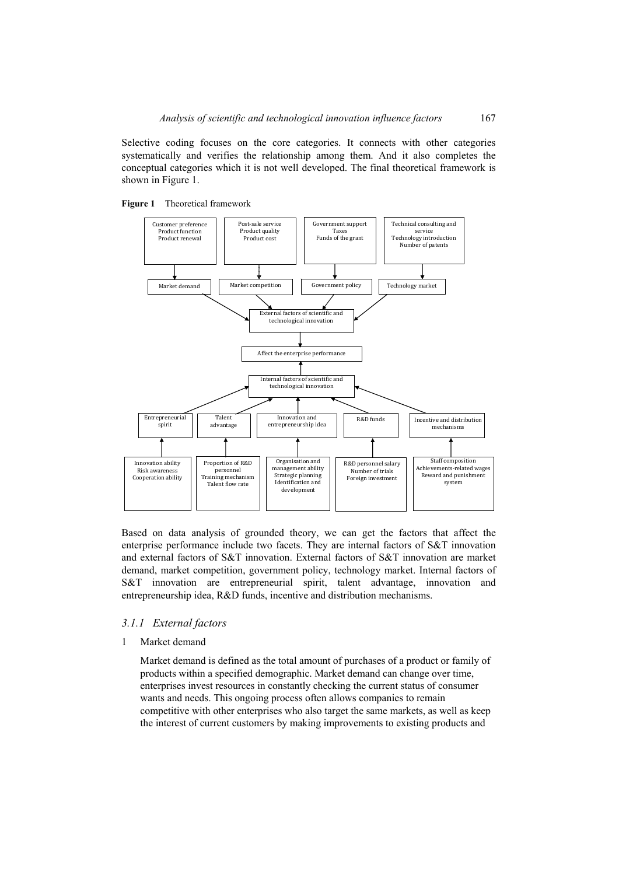Selective coding focuses on the core categories. It connects with other categories systematically and verifies the relationship among them. And it also completes the conceptual categories which it is not well developed. The final theoretical framework is shown in Figure 1.



**Figure 1** Theoretical framework

Based on data analysis of grounded theory, we can get the factors that affect the enterprise performance include two facets. They are internal factors of S&T innovation and external factors of S&T innovation. External factors of S&T innovation are market demand, market competition, government policy, technology market. Internal factors of S&T innovation are entrepreneurial spirit, talent advantage, innovation and entrepreneurship idea, R&D funds, incentive and distribution mechanisms.

#### *3.1.1 External factors*

#### 1 Market demand

Market demand is defined as the total amount of purchases of a product or family of products within a specified demographic. Market demand can change over time, enterprises invest resources in constantly checking the current status of consumer wants and needs. This ongoing process often allows companies to remain competitive with other enterprises who also target the same markets, as well as keep the interest of current customers by making improvements to existing products and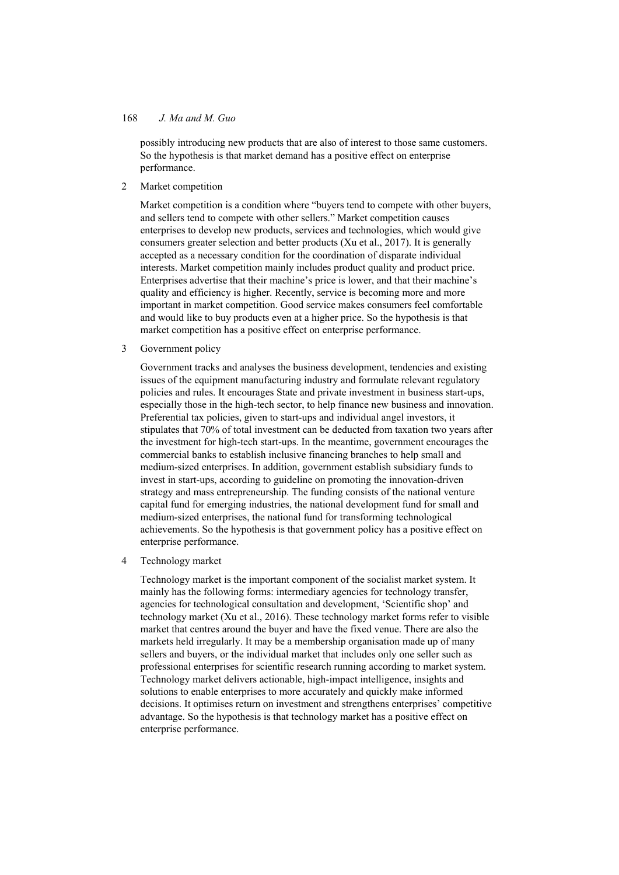#### 168 *J. Ma and M. Guo*

possibly introducing new products that are also of interest to those same customers. So the hypothesis is that market demand has a positive effect on enterprise performance.

2 Market competition

Market competition is a condition where "buyers tend to compete with other buyers, and sellers tend to compete with other sellers." Market competition causes enterprises to develop new products, services and technologies, which would give consumers greater selection and better products (Xu et al., 2017). It is generally accepted as a necessary condition for the coordination of disparate individual interests. Market competition mainly includes product quality and product price. Enterprises advertise that their machine's price is lower, and that their machine's quality and efficiency is higher. Recently, service is becoming more and more important in market competition. Good service makes consumers feel comfortable and would like to buy products even at a higher price. So the hypothesis is that market competition has a positive effect on enterprise performance.

3 Government policy

Government tracks and analyses the business development, tendencies and existing issues of the equipment manufacturing industry and formulate relevant regulatory policies and rules. It encourages State and private investment in business start-ups, especially those in the high-tech sector, to help finance new business and innovation. Preferential tax policies, given to start-ups and individual angel investors, it stipulates that 70% of total investment can be deducted from taxation two years after the investment for high-tech start-ups. In the meantime, government encourages the commercial banks to establish inclusive financing branches to help small and medium-sized enterprises. In addition, government establish subsidiary funds to invest in start-ups, according to guideline on promoting the innovation-driven strategy and mass entrepreneurship. The funding consists of the national venture capital fund for emerging industries, the national development fund for small and medium-sized enterprises, the national fund for transforming technological achievements. So the hypothesis is that government policy has a positive effect on enterprise performance.

4 Technology market

Technology market is the important component of the socialist market system. It mainly has the following forms: intermediary agencies for technology transfer, agencies for technological consultation and development, 'Scientific shop' and technology market (Xu et al., 2016). These technology market forms refer to visible market that centres around the buyer and have the fixed venue. There are also the markets held irregularly. It may be a membership organisation made up of many sellers and buyers, or the individual market that includes only one seller such as professional enterprises for scientific research running according to market system. Technology market delivers actionable, high-impact intelligence, insights and solutions to enable enterprises to more accurately and quickly make informed decisions. It optimises return on investment and strengthens enterprises' competitive advantage. So the hypothesis is that technology market has a positive effect on enterprise performance.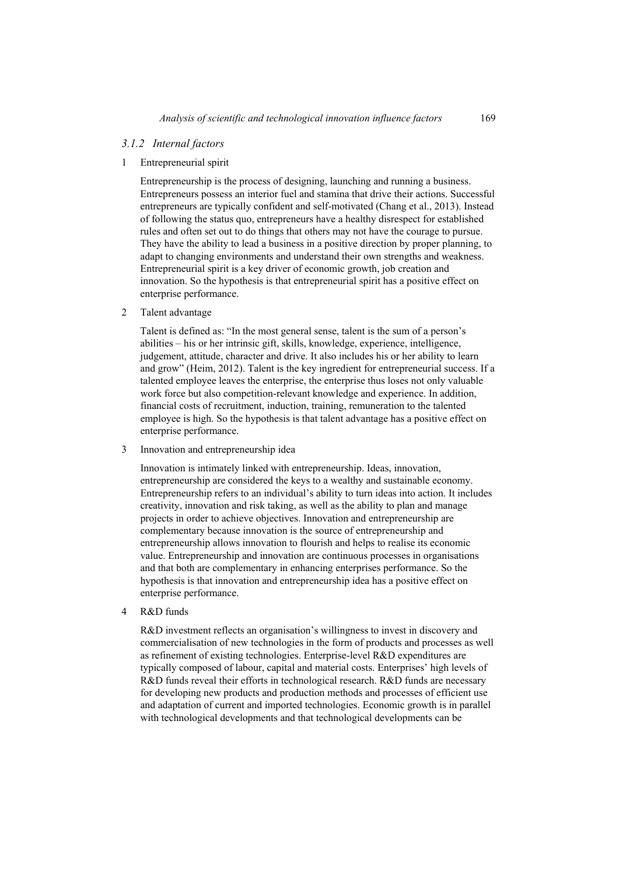# *3.1.2 Internal factors*

#### 1 Entrepreneurial spirit

Entrepreneurship is the process of designing, launching and running a business. Entrepreneurs possess an interior fuel and stamina that drive their actions. Successful entrepreneurs are typically confident and self-motivated (Chang et al., 2013). Instead of following the status quo, entrepreneurs have a healthy disrespect for established rules and often set out to do things that others may not have the courage to pursue. They have the ability to lead a business in a positive direction by proper planning, to adapt to changing environments and understand their own strengths and weakness. Entrepreneurial spirit is a key driver of economic growth, job creation and innovation. So the hypothesis is that entrepreneurial spirit has a positive effect on enterprise performance.

2 Talent advantage

Talent is defined as: "In the most general sense, talent is the sum of a person's abilities – his or her intrinsic gift, skills, knowledge, experience, intelligence, judgement, attitude, character and drive. It also includes his or her ability to learn and grow" (Heim, 2012). Talent is the key ingredient for entrepreneurial success. If a talented employee leaves the enterprise, the enterprise thus loses not only valuable work force but also competition-relevant knowledge and experience. In addition, financial costs of recruitment, induction, training, remuneration to the talented employee is high. So the hypothesis is that talent advantage has a positive effect on enterprise performance.

3 Innovation and entrepreneurship idea

Innovation is intimately linked with entrepreneurship. Ideas, innovation, entrepreneurship are considered the keys to a wealthy and sustainable economy. Entrepreneurship refers to an individual's ability to turn ideas into action. It includes creativity, innovation and risk taking, as well as the ability to plan and manage projects in order to achieve objectives. Innovation and entrepreneurship are complementary because innovation is the source of entrepreneurship and entrepreneurship allows innovation to flourish and helps to realise its economic value. Entrepreneurship and innovation are continuous processes in organisations and that both are complementary in enhancing enterprises performance. So the hypothesis is that innovation and entrepreneurship idea has a positive effect on enterprise performance.

4 R&D funds

R&D investment reflects an organisation's willingness to invest in discovery and commercialisation of new technologies in the form of products and processes as well as refinement of existing technologies. Enterprise-level R&D expenditures are typically composed of labour, capital and material costs. Enterprises' high levels of R&D funds reveal their efforts in technological research. R&D funds are necessary for developing new products and production methods and processes of efficient use and adaptation of current and imported technologies. Economic growth is in parallel with technological developments and that technological developments can be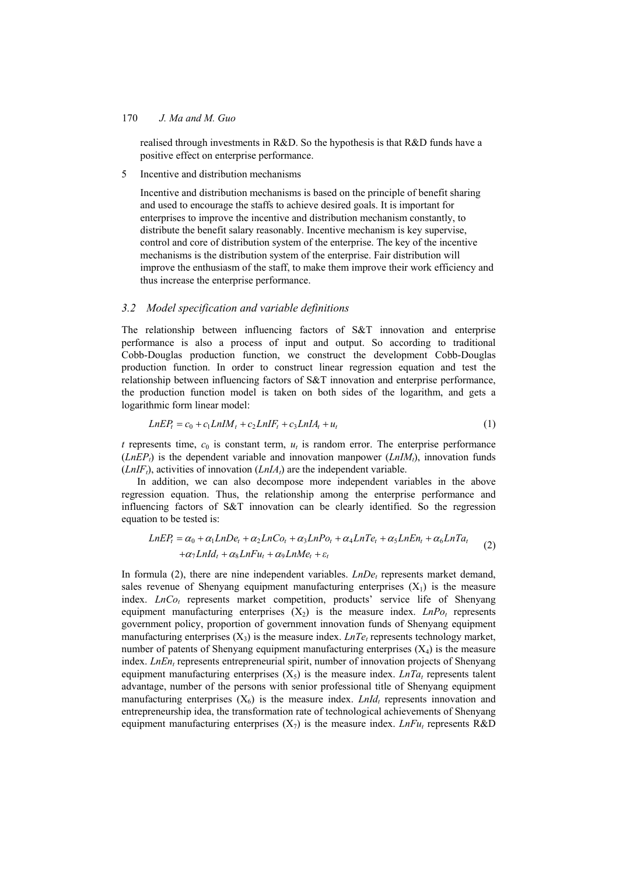#### 170 *J. Ma and M. Guo*

realised through investments in R&D. So the hypothesis is that R&D funds have a positive effect on enterprise performance.

5 Incentive and distribution mechanisms

Incentive and distribution mechanisms is based on the principle of benefit sharing and used to encourage the staffs to achieve desired goals. It is important for enterprises to improve the incentive and distribution mechanism constantly, to distribute the benefit salary reasonably. Incentive mechanism is key supervise, control and core of distribution system of the enterprise. The key of the incentive mechanisms is the distribution system of the enterprise. Fair distribution will improve the enthusiasm of the staff, to make them improve their work efficiency and thus increase the enterprise performance.

# *3.2 Model specification and variable definitions*

The relationship between influencing factors of S&T innovation and enterprise performance is also a process of input and output. So according to traditional Cobb-Douglas production function, we construct the development Cobb-Douglas production function. In order to construct linear regression equation and test the relationship between influencing factors of S&T innovation and enterprise performance, the production function model is taken on both sides of the logarithm, and gets a logarithmic form linear model:

$$
LnEP_t = c_0 + c_1 LnIM_t + c_2 LnIF_t + c_3 LnIA_t + u_t
$$
\n(1)

 $t$  represents time,  $c_0$  is constant term,  $u_t$  is random error. The enterprise performance  $(LnEP<sub>t</sub>)$  is the dependent variable and innovation manpower  $(LnIM<sub>t</sub>)$ , innovation funds  $(LnIF<sub>t</sub>)$ , activities of innovation  $(LnIA<sub>t</sub>)$  are the independent variable.

In addition, we can also decompose more independent variables in the above regression equation. Thus, the relationship among the enterprise performance and influencing factors of S&T innovation can be clearly identified. So the regression equation to be tested is:

$$
LnEP_t = \alpha_0 + \alpha_1 LnDe_t + \alpha_2 LnCo_t + \alpha_3 LnPo_t + \alpha_4 LnTe_t + \alpha_5 LnEn_t + \alpha_6 LnTa_t
$$
  
+  $\alpha_7 LnId_t + \alpha_8 LnFu_t + \alpha_9 LnMe_t + \varepsilon_t$  (2)

In formula (2), there are nine independent variables.  $LnDe<sub>t</sub>$  represents market demand, sales revenue of Shenyang equipment manufacturing enterprises  $(X_1)$  is the measure index. *LnCo<sub>t</sub>* represents market competition, products' service life of Shenyang equipment manufacturing enterprises  $(X_2)$  is the measure index. *LnPo<sub>t</sub>* represents government policy, proportion of government innovation funds of Shenyang equipment manufacturing enterprises  $(X_3)$  is the measure index. *LnTe<sub>t</sub>* represents technology market, number of patents of Shenyang equipment manufacturing enterprises  $(X_4)$  is the measure index. *LnEn<sub>t</sub>* represents entrepreneurial spirit, number of innovation projects of Shenyang equipment manufacturing enterprises  $(X_5)$  is the measure index. *LnTa<sub>t</sub>* represents talent advantage, number of the persons with senior professional title of Shenyang equipment manufacturing enterprises  $(X_6)$  is the measure index. *LnId<sub>t</sub>* represents innovation and entrepreneurship idea, the transformation rate of technological achievements of Shenyang equipment manufacturing enterprises  $(X_7)$  is the measure index. *LnFu<sub>t</sub>* represents R&D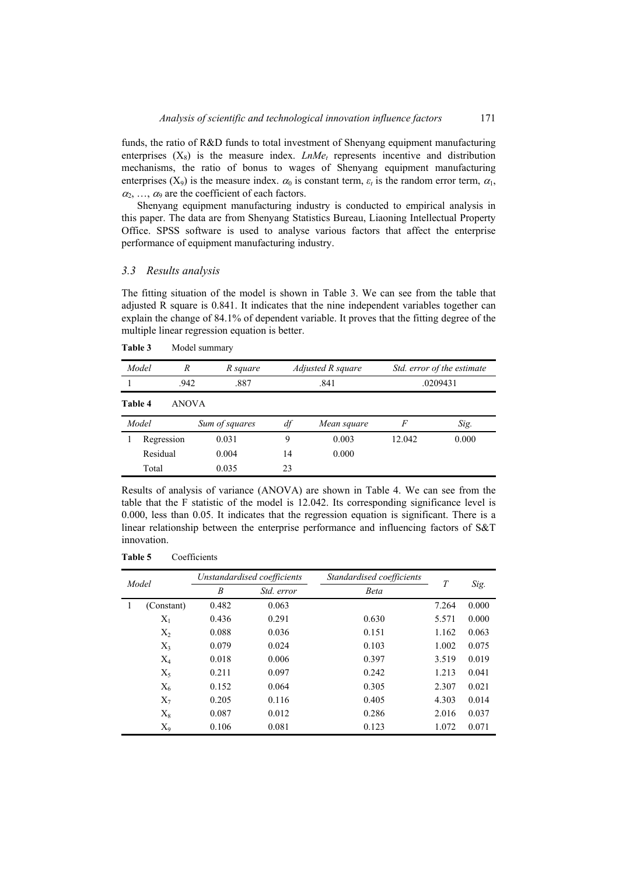funds, the ratio of R&D funds to total investment of Shenyang equipment manufacturing enterprises  $(X_8)$  is the measure index. *LnMe<sub>t</sub>* represents incentive and distribution mechanisms, the ratio of bonus to wages of Shenyang equipment manufacturing enterprises (X<sub>9</sub>) is the measure index.  $\alpha_0$  is constant term,  $\varepsilon_t$  is the random error term,  $\alpha_1$ ,  $\alpha_2, \ldots, \alpha_9$  are the coefficient of each factors.

Shenyang equipment manufacturing industry is conducted to empirical analysis in this paper. The data are from Shenyang Statistics Bureau, Liaoning Intellectual Property Office. SPSS software is used to analyse various factors that affect the enterprise performance of equipment manufacturing industry.

#### *3.3 Results analysis*

The fitting situation of the model is shown in Table 3. We can see from the table that adjusted R square is 0.841. It indicates that the nine independent variables together can explain the change of 84.1% of dependent variable. It proves that the fitting degree of the multiple linear regression equation is better.

|         | Model<br>R | R square       |    | Adjusted R square |                | Std. error of the estimate |
|---------|------------|----------------|----|-------------------|----------------|----------------------------|
|         |            | .942<br>.887   |    | .841              |                | .0209431                   |
| Table 4 |            | <b>ANOVA</b>   |    |                   |                |                            |
|         | Model      | Sum of squares | df | Mean square       | $\overline{F}$ | Sig.                       |
|         | Regression | 0.031          | 9  | 0.003             | 12.042         | 0.000                      |
|         | Residual   | 0.004          | 14 | 0.000             |                |                            |
|         | Total      | 0.035          | 23 |                   |                |                            |

**Table 3** Model summary

Results of analysis of variance (ANOVA) are shown in Table 4. We can see from the table that the F statistic of the model is 12.042. Its corresponding significance level is 0.000, less than 0.05. It indicates that the regression equation is significant. There is a linear relationship between the enterprise performance and influencing factors of S&T innovation.

| Model |            | Unstandardised coefficients |            | Standardised coefficients | T     |       |
|-------|------------|-----------------------------|------------|---------------------------|-------|-------|
|       |            | B                           | Std. error | Beta                      |       | Sig.  |
| 1     | (Constant) | 0.482                       | 0.063      |                           | 7.264 | 0.000 |
|       | $X_1$      | 0.436                       | 0.291      | 0.630                     | 5.571 | 0.000 |
|       | $X_2$      | 0.088                       | 0.036      | 0.151                     | 1.162 | 0.063 |
|       | $X_3$      | 0.079                       | 0.024      | 0.103                     | 1.002 | 0.075 |
|       | $X_4$      | 0.018                       | 0.006      | 0.397                     | 3.519 | 0.019 |
|       | $X_5$      | 0.211                       | 0.097      | 0.242                     | 1.213 | 0.041 |
|       | $X_6$      | 0.152                       | 0.064      | 0.305                     | 2.307 | 0.021 |
|       | $X_7$      | 0.205                       | 0.116      | 0.405                     | 4.303 | 0.014 |
|       | $X_8$      | 0.087                       | 0.012      | 0.286                     | 2.016 | 0.037 |
|       | $X_9$      | 0.106                       | 0.081      | 0.123                     | 1.072 | 0.071 |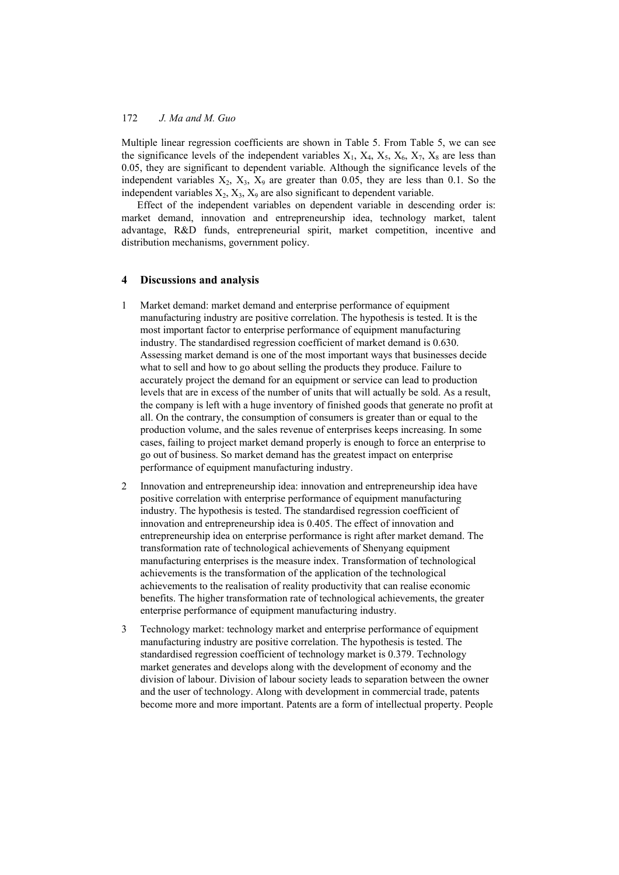Multiple linear regression coefficients are shown in Table 5. From Table 5, we can see the significance levels of the independent variables  $X_1$ ,  $X_4$ ,  $X_5$ ,  $X_6$ ,  $X_7$ ,  $X_8$  are less than 0.05, they are significant to dependent variable. Although the significance levels of the independent variables  $X_2$ ,  $X_3$ ,  $X_9$  are greater than 0.05, they are less than 0.1. So the independent variables  $X_2$ ,  $X_3$ ,  $X_9$  are also significant to dependent variable.

Effect of the independent variables on dependent variable in descending order is: market demand, innovation and entrepreneurship idea, technology market, talent advantage, R&D funds, entrepreneurial spirit, market competition, incentive and distribution mechanisms, government policy.

# **4 Discussions and analysis**

- 1 Market demand: market demand and enterprise performance of equipment manufacturing industry are positive correlation. The hypothesis is tested. It is the most important factor to enterprise performance of equipment manufacturing industry. The standardised regression coefficient of market demand is 0.630. Assessing market demand is one of the most important ways that businesses decide what to sell and how to go about selling the products they produce. Failure to accurately project the demand for an equipment or service can lead to production levels that are in excess of the number of units that will actually be sold. As a result, the company is left with a huge inventory of finished goods that generate no profit at all. On the contrary, the consumption of consumers is greater than or equal to the production volume, and the sales revenue of enterprises keeps increasing. In some cases, failing to project market demand properly is enough to force an enterprise to go out of business. So market demand has the greatest impact on enterprise performance of equipment manufacturing industry.
- 2 Innovation and entrepreneurship idea: innovation and entrepreneurship idea have positive correlation with enterprise performance of equipment manufacturing industry. The hypothesis is tested. The standardised regression coefficient of innovation and entrepreneurship idea is 0.405. The effect of innovation and entrepreneurship idea on enterprise performance is right after market demand. The transformation rate of technological achievements of Shenyang equipment manufacturing enterprises is the measure index. Transformation of technological achievements is the transformation of the application of the technological achievements to the realisation of reality productivity that can realise economic benefits. The higher transformation rate of technological achievements, the greater enterprise performance of equipment manufacturing industry.
- 3 Technology market: technology market and enterprise performance of equipment manufacturing industry are positive correlation. The hypothesis is tested. The standardised regression coefficient of technology market is 0.379. Technology market generates and develops along with the development of economy and the division of labour. Division of labour society leads to separation between the owner and the user of technology. Along with development in commercial trade, patents become more and more important. Patents are a form of intellectual property. People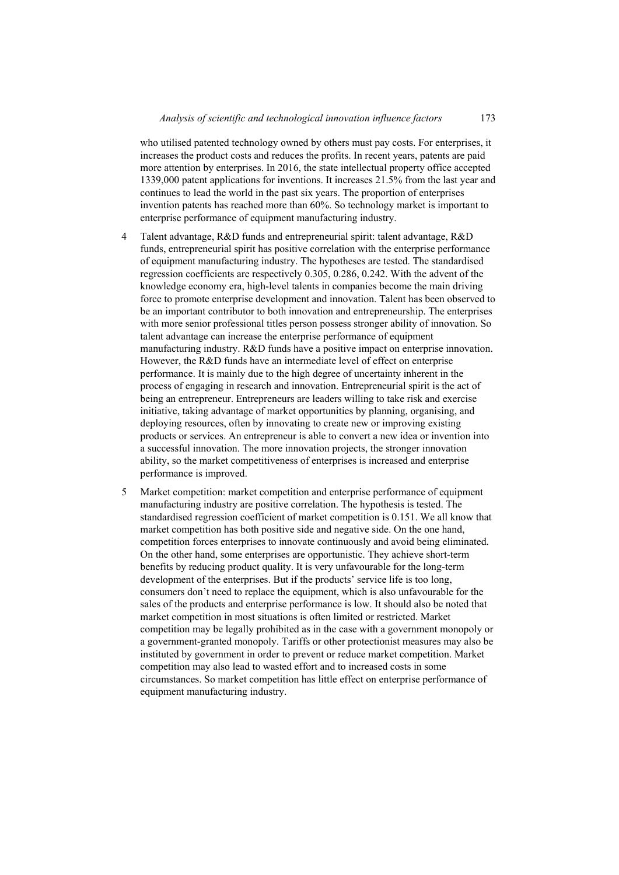who utilised patented technology owned by others must pay costs. For enterprises, it increases the product costs and reduces the profits. In recent years, patents are paid more attention by enterprises. In 2016, the state intellectual property office accepted 1339,000 patent applications for inventions. It increases 21.5% from the last year and continues to lead the world in the past six years. The proportion of enterprises invention patents has reached more than 60%. So technology market is important to enterprise performance of equipment manufacturing industry.

- 4 Talent advantage, R&D funds and entrepreneurial spirit: talent advantage, R&D funds, entrepreneurial spirit has positive correlation with the enterprise performance of equipment manufacturing industry. The hypotheses are tested. The standardised regression coefficients are respectively 0.305, 0.286, 0.242. With the advent of the knowledge economy era, high-level talents in companies become the main driving force to promote enterprise development and innovation. Talent has been observed to be an important contributor to both innovation and entrepreneurship. The enterprises with more senior professional titles person possess stronger ability of innovation. So talent advantage can increase the enterprise performance of equipment manufacturing industry. R&D funds have a positive impact on enterprise innovation. However, the R&D funds have an intermediate level of effect on enterprise performance. It is mainly due to the high degree of uncertainty inherent in the process of engaging in research and innovation. Entrepreneurial spirit is the act of being an entrepreneur. Entrepreneurs are leaders willing to take risk and exercise initiative, taking advantage of market opportunities by planning, organising, and deploying resources, often by innovating to create new or improving existing products or services. An entrepreneur is able to convert a new idea or invention into a successful innovation. The more innovation projects, the stronger innovation ability, so the market competitiveness of enterprises is increased and enterprise performance is improved.
- 5 Market competition: market competition and enterprise performance of equipment manufacturing industry are positive correlation. The hypothesis is tested. The standardised regression coefficient of market competition is 0.151. We all know that market competition has both positive side and negative side. On the one hand, competition forces enterprises to innovate continuously and avoid being eliminated. On the other hand, some enterprises are opportunistic. They achieve short-term benefits by reducing product quality. It is very unfavourable for the long-term development of the enterprises. But if the products' service life is too long, consumers don't need to replace the equipment, which is also unfavourable for the sales of the products and enterprise performance is low. It should also be noted that market competition in most situations is often limited or restricted. Market competition may be legally prohibited as in the case with a government monopoly or a government-granted monopoly. Tariffs or other protectionist measures may also be instituted by government in order to prevent or reduce market competition. Market competition may also lead to wasted effort and to increased costs in some circumstances. So market competition has little effect on enterprise performance of equipment manufacturing industry.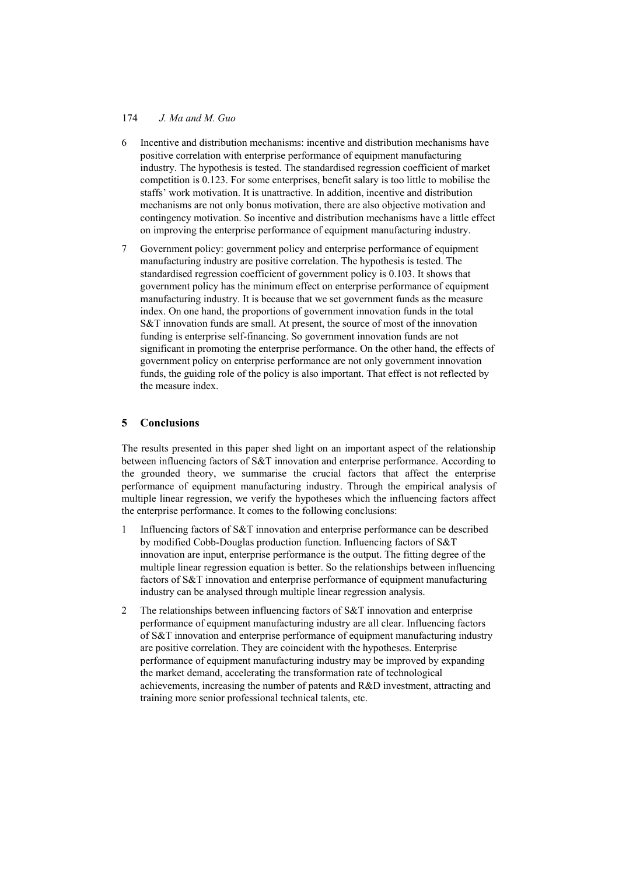## 174 *J. Ma and M. Guo*

- 6 Incentive and distribution mechanisms: incentive and distribution mechanisms have positive correlation with enterprise performance of equipment manufacturing industry. The hypothesis is tested. The standardised regression coefficient of market competition is 0.123. For some enterprises, benefit salary is too little to mobilise the staffs' work motivation. It is unattractive. In addition, incentive and distribution mechanisms are not only bonus motivation, there are also objective motivation and contingency motivation. So incentive and distribution mechanisms have a little effect on improving the enterprise performance of equipment manufacturing industry.
- 7 Government policy: government policy and enterprise performance of equipment manufacturing industry are positive correlation. The hypothesis is tested. The standardised regression coefficient of government policy is 0.103. It shows that government policy has the minimum effect on enterprise performance of equipment manufacturing industry. It is because that we set government funds as the measure index. On one hand, the proportions of government innovation funds in the total S&T innovation funds are small. At present, the source of most of the innovation funding is enterprise self-financing. So government innovation funds are not significant in promoting the enterprise performance. On the other hand, the effects of government policy on enterprise performance are not only government innovation funds, the guiding role of the policy is also important. That effect is not reflected by the measure index.

# **5 Conclusions**

The results presented in this paper shed light on an important aspect of the relationship between influencing factors of S&T innovation and enterprise performance. According to the grounded theory, we summarise the crucial factors that affect the enterprise performance of equipment manufacturing industry. Through the empirical analysis of multiple linear regression, we verify the hypotheses which the influencing factors affect the enterprise performance. It comes to the following conclusions:

- 1 Influencing factors of S&T innovation and enterprise performance can be described by modified Cobb-Douglas production function. Influencing factors of S&T innovation are input, enterprise performance is the output. The fitting degree of the multiple linear regression equation is better. So the relationships between influencing factors of S&T innovation and enterprise performance of equipment manufacturing industry can be analysed through multiple linear regression analysis.
- 2 The relationships between influencing factors of S&T innovation and enterprise performance of equipment manufacturing industry are all clear. Influencing factors of S&T innovation and enterprise performance of equipment manufacturing industry are positive correlation. They are coincident with the hypotheses. Enterprise performance of equipment manufacturing industry may be improved by expanding the market demand, accelerating the transformation rate of technological achievements, increasing the number of patents and R&D investment, attracting and training more senior professional technical talents, etc.